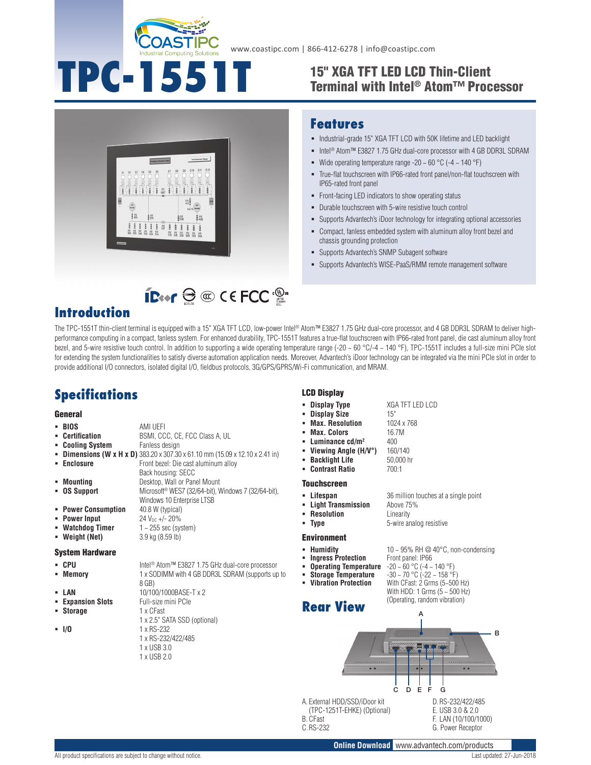

# **TPC-1551T**

**ID** or  $\ominus \textcircled{\tiny\textcircled{\tiny$M$}}$  C ECC  $\textcircled{\tiny\textcircled{\tiny$M$}}$ 

## 15" XGA TFT LED LCD Thin-Client Terminal with Intel® Atom™ Processor



### **Features**

- $\blacksquare$  Industrial-grade 15" XGA TFT LCD with 50K lifetime and LED backlight
- Intel<sup>®</sup> Atom™ E3827 1.75 GHz dual-core processor with 4 GB DDR3L SDRAM
- Wide operating temperature range -20  $\sim$  60 °C (-4  $\sim$  140 °F)
- True-flat touchscreen with IP66-rated front panel/non-flat touchscreen with IP65-rated front panel
- Front-facing LED indicators to show operating status
- Durable touchscreen with 5-wire resistive touch control
- Supports Advantech's iDoor technology for integrating optional accessories
- Compact, fanless embedded system with aluminum alloy front bezel and chassis grounding protection
- Supports Advantech's SNMP Subagent software
- Supports Advantech's WISE-PaaS/RMM remote management software

## **Introduction**

The TPC-1551T thin-client terminal is equipped with a 15" XGA TFT LCD, low-power Intel® Atom™ E3827 1.75 GHz dual-core processor, and 4 GB DDR3L SDRAM to deliver highperformance computing in a compact, fanless system. For enhanced durability, TPC-1551T features a true-flat touchscreen with IP66-rated front panel, die cast aluminum alloy front bezel, and 5-wire resistive touch control. In addition to supporting a wide operating temperature range  $(-20 \sim 60 \degree C$ /-4  $\sim 140 \degree F)$ , TPC-1551T includes a full-size mini PCIe slot for extending the system functionalities to satisfy diverse automation application needs. Moreover, Advantech's iDoor technology can be integrated via the mini PCIe slot in order to provide additional I/O connectors, isolated digital I/O, fieldbus protocols, 3G/GPS/GPRS/Wi-Fi communication, and MRAM.

# **Specifications**

#### General

- **BIOS** AMI UEFI<br>**Certification** BSMI, CC
- BSMI, CCC, CE, FCC Class A, UL<br>Fanless design
- **E** Cooling System
- **Dimensions (W x H x D)** 383.20 x 307.30 x 61.10 mm (15.09 x 12.10 x 2.41 in)

Windows 10 Enterprise LTSB

- **Enclosure Enclosure Front bezel: Die cast aluminum alloy** Back housing: SECC
- **Mounting** Desktop, Wall or Panel Mount
- **OS Support** Microsoft<sup>®</sup> WES7 (32/64-bit), Windows 7 (32/64-bit),
- **Power Consumption** 40.8 W (typical)
- **Power Input**  $24 \text{ V}_{DC} +/- 20\%$
- **Watchdog Timer** 1 ~ 255 sec (system)
- **Weight (Net)** 3.9 kg (8.59 lb)
- System Hardware
- 
- 
- CPU Intel<sup>®</sup> Atom™ E3827 1.75 GHz dual-core processor **Memory** 1 x SODIMM with 4 GB DDR3L SDRAM (supports up to 8 GB)
- **LAN** 10/100/1000BASE-T x 2
- **Expansion Slots** Full-size mini PCIe
- **Storage** 1 x CFast
- 
- 1 x 2.5" SATA SSD (optional) **I/O** 1 x RS-232 1 x RS-232/422/485
	- 1 x USB 3.0
	- 1 x USB 2.0

#### LCD Display

- **Display Type** XGA TFT LED LCD
- **Display Size** 15"
- **Max. Resolution** 1024 x 768
- **Max. Colors** 16.7M
- **Luminance cd/m<sup>2</sup> 400**
- 
- **Viewing Angle (H/V°)** 160/140<br>**Backlight Life** 50.000 hr **Backlight Life**
- **Contrast Ratio** 700:1

#### Touchscreen

- **Lifespan** 36 million touches at a single point
- **Light Transmission** Above 75%
- 
- 

#### Environment

- 
- **Ingress Protection** 
	- **Operating Temperature<br>Storage Temperature**
- 
- 

**Rear View** A B . .  $\bullet$ C ED F G A. External HDD/SSD/iDoor kit D.RS-232/422/485 (TPC-1251T-EHKE) (Optional) E. USB 3.0 & 2.0 F. LAN (10/100/1000)

B. CFast C.RS-232

**Online Download** www.advantech.com/products G. Power Receptor

 **Resolution** Linearity **Type** 5-wire analog resistive

- **Humidity 10 ~ 95% RH @ 40°C, non-condensing**<br>■ **Ingress Protection** Front panel: IP66
	-
	- **Operating Temperature** -20 ~ 60 °C (-4 ~ 140 °F)<br> **Storage Temperature** -30 ~ 70 °C (-22 ~ 158 °F)<br> **Vitiration Protection** With CEast: 2 Grms (5~500
- 

With CFast: 2 Grms (5~500 Hz) With HDD: 1 Grms  $(5 - 500$  Hz) (Operating, random vibration)